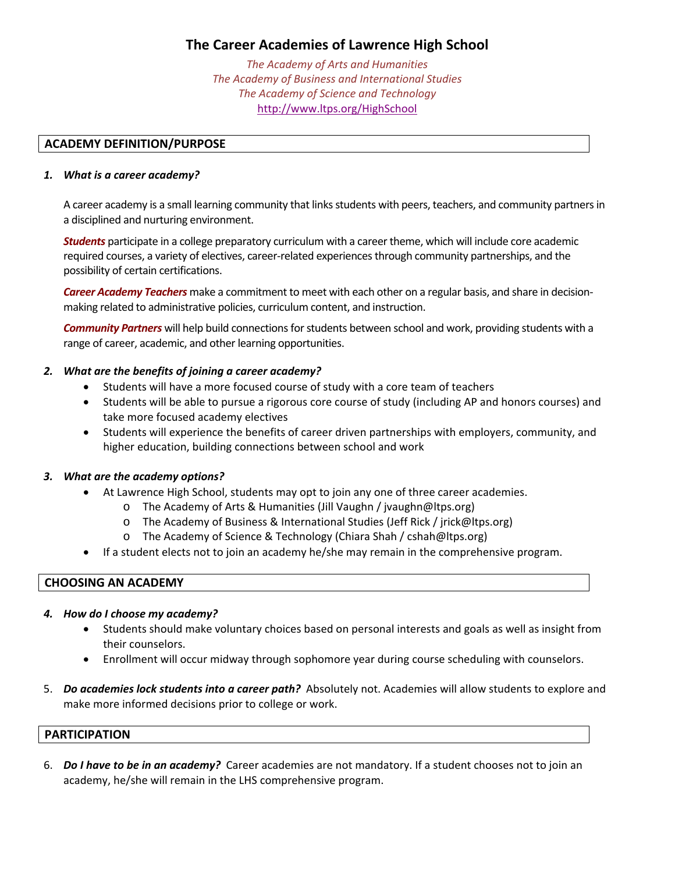# **The Career Academies of Lawrence High School**

*The Academy of Arts and Humanities The Academy of Business and International Studies The Academy of Science and Technology* http://www.ltps.org/HighSchool

## **ACADEMY DEFINITION/PURPOSE**

#### *1. What is a career academy?*

A career academy is a small learning community that links students with peers, teachers, and community partners in a disciplined and nurturing environment.

*Students* participate in a college preparatory curriculum with a career theme, which will include core academic required courses, a variety of electives, career‐related experiencesthrough community partnerships, and the possibility of certain certifications.

*Career Academy Teachers* make a commitment to meet with each other on a regular basis, and share in decision‐ making related to administrative policies, curriculum content, and instruction.

**Community Partners** will help build connections for students between school and work, providing students with a range of career, academic, and other learning opportunities.

## *2. What are the benefits of joining a career academy?*

- Students will have a more focused course of study with a core team of teachers
- Students will be able to pursue a rigorous core course of study (including AP and honors courses) and take more focused academy electives
- Students will experience the benefits of career driven partnerships with employers, community, and higher education, building connections between school and work

#### *3. What are the academy options?*

- At Lawrence High School, students may opt to join any one of three career academies.
	- o The Academy of Arts & Humanities (Jill Vaughn / jvaughn@ltps.org)
	- o The Academy of Business & International Studies (Jeff Rick / jrick@ltps.org)
	- o The Academy of Science & Technology (Chiara Shah / cshah@ltps.org)
- If a student elects not to join an academy he/she may remain in the comprehensive program.

#### **CHOOSING AN ACADEMY**

#### *4. How do I choose my academy?*

- Students should make voluntary choices based on personal interests and goals as well as insight from their counselors.
- Enrollment will occur midway through sophomore year during course scheduling with counselors.
- 5. *Do academies lock students into a career path?* Absolutely not. Academies will allow students to explore and make more informed decisions prior to college or work.

#### **PARTICIPATION**

6. *Do I have to be in an academy?* Career academies are not mandatory. If a student chooses not to join an academy, he/she will remain in the LHS comprehensive program.